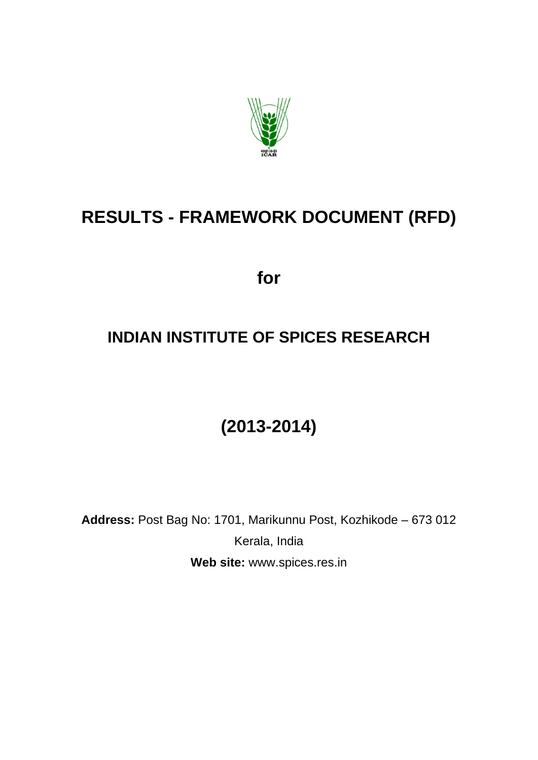

# **RESULTS - FRAMEWORK DOCUMENT (RFD)**

**for** 

# **INDIAN INSTITUTE OF SPICES RESEARCH**

# **(2013-2014)**

**Address:** Post Bag No: 1701, Marikunnu Post, Kozhikode – 673 012 Kerala, India **Web site:** www.spices.res.in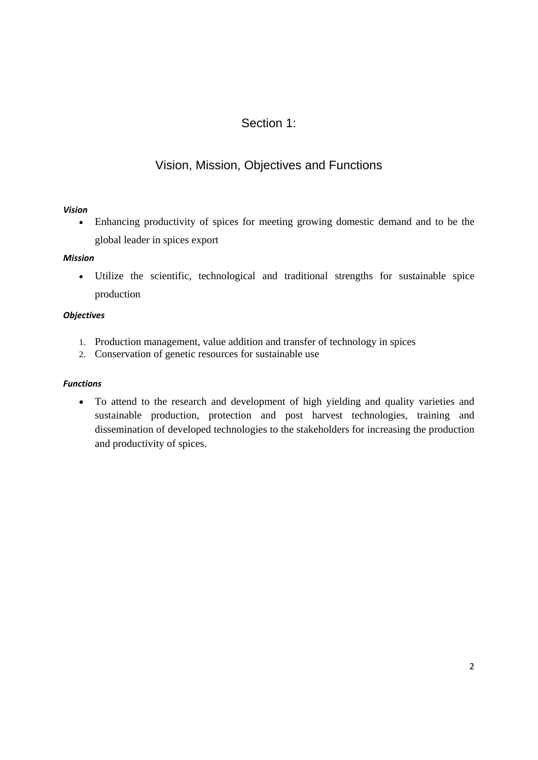### Section 1:

### Vision, Mission, Objectives and Functions

#### *Vision*

 Enhancing productivity of spices for meeting growing domestic demand and to be the global leader in spices export

#### *Mission*

 Utilize the scientific, technological and traditional strengths for sustainable spice production

#### *Objectives*

- 1. Production management, value addition and transfer of technology in spices
- 2. Conservation of genetic resources for sustainable use

#### *Functions*

 To attend to the research and development of high yielding and quality varieties and sustainable production, protection and post harvest technologies, training and dissemination of developed technologies to the stakeholders for increasing the production and productivity of spices.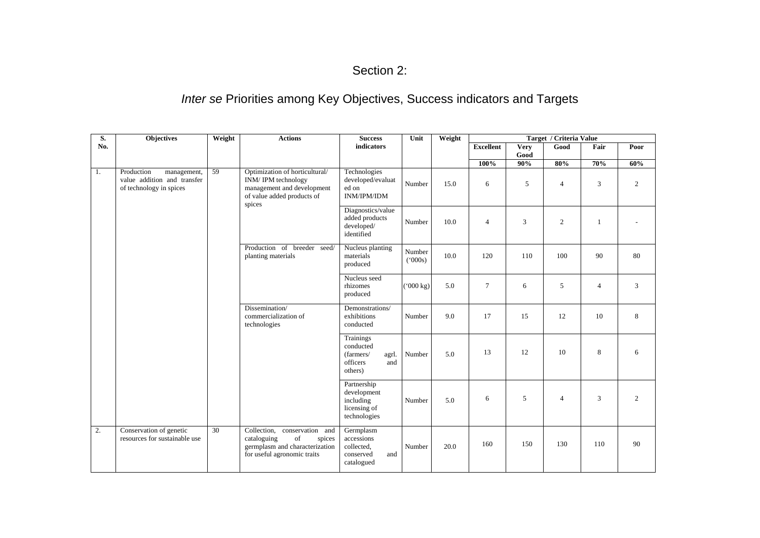#### Section 2:

## *Inter se* Priorities among Key Objectives, Success indicators and Targets

| S.  | Objectives                                                                          | Weight          | <b>Actions</b>                                                                                                               | <b>Success</b>                                                             | Unit               | Weight |                  | Target / Criteria Value |                |                |      |
|-----|-------------------------------------------------------------------------------------|-----------------|------------------------------------------------------------------------------------------------------------------------------|----------------------------------------------------------------------------|--------------------|--------|------------------|-------------------------|----------------|----------------|------|
| No. |                                                                                     |                 |                                                                                                                              | indicators                                                                 |                    |        | <b>Excellent</b> | <b>Very</b><br>Good     | Good           | Fair           | Poor |
|     |                                                                                     |                 |                                                                                                                              |                                                                            |                    |        | 100%             | 90%                     | 80%            | 70%            | 60%  |
| 1.  | Production<br>management,<br>value addition and transfer<br>of technology in spices | $\overline{59}$ | Optimization of horticultural/<br>INM/IPM technology<br>management and development<br>of value added products of<br>spices   | Technologies<br>developed/evaluat<br>ed on<br><b>INM/IPM/IDM</b>           | Number             | 15.0   | 6                | 5                       | $\overline{4}$ | 3              | 2    |
|     |                                                                                     |                 |                                                                                                                              | Diagnostics/value<br>added products<br>developed/<br>identified            | Number             | 10.0   | 4                | 3                       | $\overline{2}$ | $\mathbf{1}$   |      |
|     |                                                                                     |                 | Production of breeder<br>seed/<br>planting materials                                                                         | Nucleus planting<br>materials<br>produced                                  | Number<br>(000s)   | 10.0   | 120              | 110                     | 100            | 90             | 80   |
|     |                                                                                     |                 |                                                                                                                              | Nucleus seed<br>rhizomes<br>produced                                       | $(000 \text{ kg})$ | 5.0    | $\tau$           | 6                       | 5              | $\overline{4}$ | 3    |
|     |                                                                                     |                 | Dissemination/<br>commercialization of<br>technologies                                                                       | Demonstrations/<br>exhibitions<br>conducted                                | Number             | 9.0    | 17               | 15                      | 12             | 10             | 8    |
|     |                                                                                     |                 |                                                                                                                              | Trainings<br>conducted<br>(farmers/<br>agrl.<br>officers<br>and<br>others) | Number             | 5.0    | 13               | 12                      | 10             | 8              | 6    |
|     |                                                                                     |                 |                                                                                                                              | Partnership<br>development<br>including<br>licensing of<br>technologies    | Number             | 5.0    | 6                | 5                       | $\overline{4}$ | 3              | 2    |
| 2.  | Conservation of genetic<br>resources for sustainable use                            | 30              | Collection, conservation and<br>cataloguing<br>of<br>spices<br>germplasm and characterization<br>for useful agronomic traits | Germplasm<br>accessions<br>collected,<br>conserved<br>and<br>catalogued    | Number             | 20.0   | 160              | 150                     | 130            | 110            | 90   |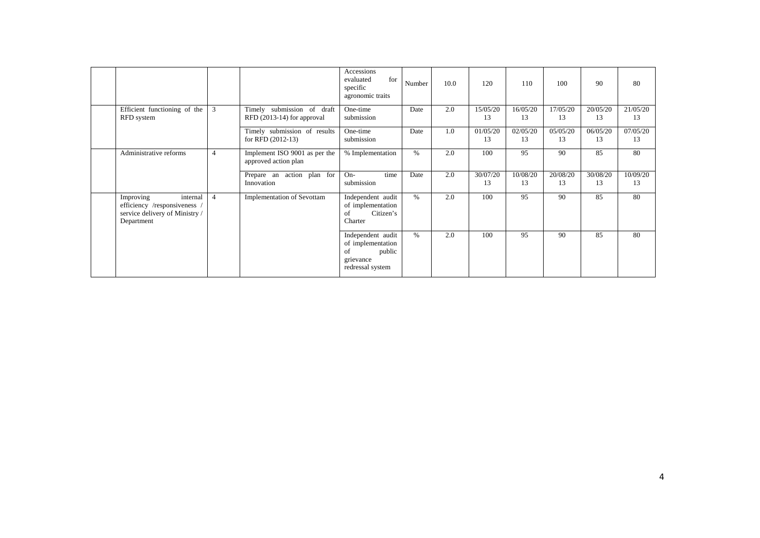|                                                                                                       |                |                                                            | Accessions<br>for<br>evaluated<br>specific<br>agronomic traits                          | Number | 10.0 | 120            | 110            | 100            | 90             | 80             |
|-------------------------------------------------------------------------------------------------------|----------------|------------------------------------------------------------|-----------------------------------------------------------------------------------------|--------|------|----------------|----------------|----------------|----------------|----------------|
| Efficient functioning of the<br>RFD system                                                            | 3              | Timely submission of draft<br>RFD $(2013-14)$ for approval | One-time<br>submission                                                                  | Date   | 2.0  | 15/05/20<br>13 | 16/05/20<br>13 | 17/05/20<br>13 | 20/05/20<br>13 | 21/05/20<br>13 |
|                                                                                                       |                | Timely submission of results<br>for RFD $(2012-13)$        | One-time<br>submission                                                                  | Date   | 1.0  | 01/05/20<br>13 | 02/05/20<br>13 | 05/05/20<br>13 | 06/05/20<br>13 | 07/05/20<br>13 |
| Administrative reforms                                                                                | $\overline{4}$ | Implement ISO 9001 as per the<br>approved action plan      | % Implementation                                                                        | %      | 2.0  | 100            | 95             | 90             | 85             | 80             |
|                                                                                                       |                | Prepare an action plan for<br>Innovation                   | $On-$<br>time<br>submission                                                             | Date   | 2.0  | 30/07/20<br>13 | 10/08/20<br>13 | 20/08/20<br>13 | 30/08/20<br>13 | 10/09/20<br>13 |
| internal<br>Improving<br>efficiency /responsiveness /<br>service delivery of Ministry /<br>Department | $\overline{4}$ | <b>Implementation of Sevottam</b>                          | Independent audit<br>of implementation<br>Citizen's<br>of<br>Charter                    | $\%$   | 2.0  | 100            | 95             | 90             | 85             | 80             |
|                                                                                                       |                |                                                            | Independent audit<br>of implementation<br>public<br>of<br>grievance<br>redressal system | %      | 2.0  | 100            | 95             | 90             | 85             | 80             |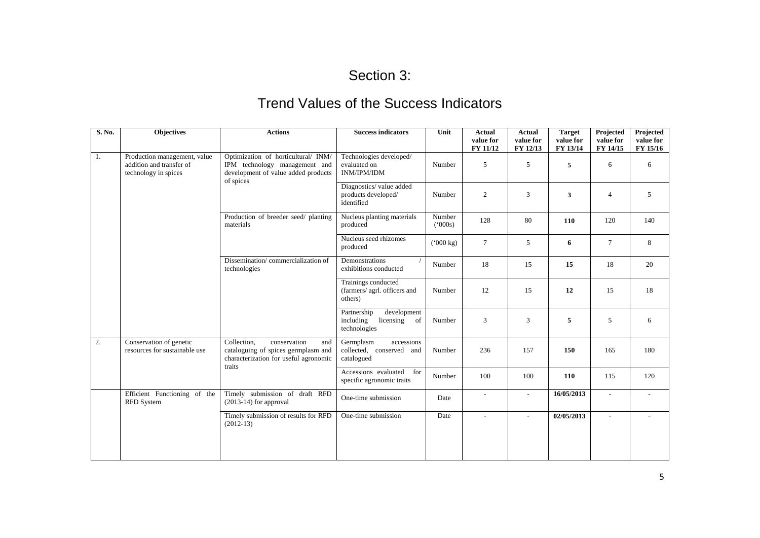# Section 3:

## Trend Values of the Success Indicators

| S. No. | <b>Objectives</b>                                                                | <b>Actions</b>                                                                                                               | <b>Success indicators</b>                                                  | Unit               | <b>Actual</b><br>value for<br>FY 11/12 | Actual<br>value for<br>FY 12/13 | <b>Target</b><br>value for<br>FY 13/14 | Projected<br>value for<br>FY 14/15 | Projected<br>value for<br>FY 15/16 |
|--------|----------------------------------------------------------------------------------|------------------------------------------------------------------------------------------------------------------------------|----------------------------------------------------------------------------|--------------------|----------------------------------------|---------------------------------|----------------------------------------|------------------------------------|------------------------------------|
| 1.     | Production management, value<br>addition and transfer of<br>technology in spices | Optimization of horticultural/ INM/<br>IPM technology management and<br>development of value added products                  | Technologies developed/<br>evaluated on<br>INM/IPM/IDM                     | Number             | 5                                      | 5                               | 5                                      | 6                                  | 6                                  |
|        |                                                                                  | of spices                                                                                                                    | Diagnostics/value added<br>products developed/<br>identified               | Number             | $\overline{2}$                         | 3                               | 3                                      | $\overline{4}$                     | 5                                  |
|        |                                                                                  | Production of breeder seed/ planting<br>materials                                                                            | Nucleus planting materials<br>produced                                     | Number<br>(000s)   | 128                                    | 80                              | <b>110</b>                             | 120                                | 140                                |
|        |                                                                                  | Dissemination/commercialization of<br>technologies                                                                           | Nucleus seed rhizomes<br>produced                                          | $(000 \text{ kg})$ | $\tau$                                 | 5                               | 6                                      | $\tau$                             | 8                                  |
|        |                                                                                  |                                                                                                                              | Demonstrations<br>exhibitions conducted                                    | Number             | 18                                     | 15                              | 15                                     | 18                                 | 20                                 |
|        |                                                                                  |                                                                                                                              | Trainings conducted<br>(farmers/ agrl. officers and<br>others)             | Number             | 12                                     | 15                              | 12                                     | 15                                 | 18                                 |
|        |                                                                                  |                                                                                                                              | Partnership<br>development<br>including<br>licensing<br>of<br>technologies | Number             | 3                                      | 3                               | 5                                      | 5                                  | 6                                  |
| 2.     | Conservation of genetic<br>resources for sustainable use                         | Collection.<br>conservation<br>and<br>cataloguing of spices germplasm and<br>characterization for useful agronomic<br>traits | Germplasm<br>accessions<br>collected, conserved and<br>catalogued          | Number             | 236                                    | 157                             | 150                                    | 165                                | 180                                |
|        |                                                                                  |                                                                                                                              | Accessions evaluated<br>for<br>specific agronomic traits                   | Number             | 100                                    | 100                             | 110                                    | 115                                | 120                                |
|        | Efficient Functioning of the<br><b>RFD</b> System                                | Timely submission of draft RFD<br>$(2013-14)$ for approval                                                                   | One-time submission                                                        | Date               | $\sim$                                 | $\overline{\phantom{a}}$        | 16/05/2013                             | ÷                                  |                                    |
|        |                                                                                  | Timely submission of results for RFD<br>$(2012-13)$                                                                          | One-time submission                                                        | Date               | $\overline{a}$                         | $\sim$                          | 02/05/2013                             | $\overline{a}$                     |                                    |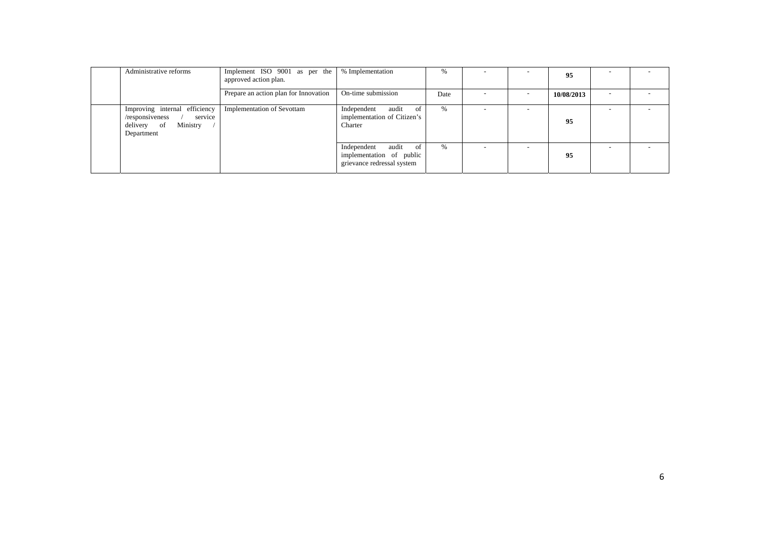| Administrative reforms                                                                               | Implement ISO 9001 as per the<br>approved action plan. | % Implementation                                                                  | $\%$ |                          | 95         |  |
|------------------------------------------------------------------------------------------------------|--------------------------------------------------------|-----------------------------------------------------------------------------------|------|--------------------------|------------|--|
|                                                                                                      | Prepare an action plan for Innovation                  | On-time submission                                                                | Date | $\overline{\phantom{a}}$ | 10/08/2013 |  |
| Improving internal efficiency<br>service<br>/responsiveness<br>Ministry<br>delivery of<br>Department | <b>Implementation of Sevottam</b>                      | audit<br>Independent<br>of<br>implementation of Citizen's<br>Charter              | %    |                          | 95         |  |
|                                                                                                      |                                                        | audit of<br>Independent<br>implementation of public<br>grievance redressal system | %    | $\overline{\phantom{a}}$ | 95         |  |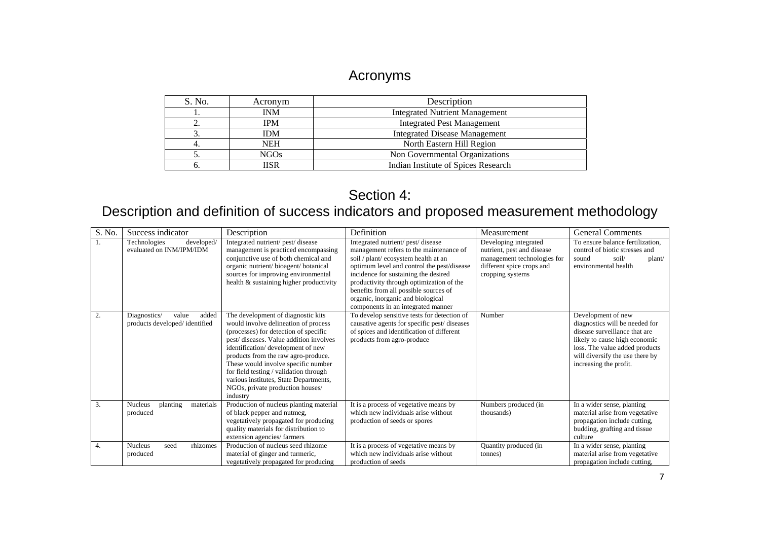### Acronyms

| S. No.   | Acronym     | Description                           |
|----------|-------------|---------------------------------------|
|          | <b>INM</b>  | <b>Integrated Nutrient Management</b> |
| <u>.</u> | IPM         | <b>Integrated Pest Management</b>     |
|          | <b>IDM</b>  | <b>Integrated Disease Management</b>  |
|          | NEH         | North Eastern Hill Region             |
|          | <b>NGOs</b> | Non Governmental Organizations        |
|          | IISR        | Indian Institute of Spices Research   |
|          |             |                                       |

### Section 4:

# Description and definition of success indicators and proposed measurement methodology

| S. No. | Success indicator                                               | Description                                                                                                                                                                                                                                                                                                                                                                                                          | Definition                                                                                                                                                                                                                                                                                                                                                                  | Measurement                                                                                                                         | <b>General Comments</b>                                                                                                                                                                                               |
|--------|-----------------------------------------------------------------|----------------------------------------------------------------------------------------------------------------------------------------------------------------------------------------------------------------------------------------------------------------------------------------------------------------------------------------------------------------------------------------------------------------------|-----------------------------------------------------------------------------------------------------------------------------------------------------------------------------------------------------------------------------------------------------------------------------------------------------------------------------------------------------------------------------|-------------------------------------------------------------------------------------------------------------------------------------|-----------------------------------------------------------------------------------------------------------------------------------------------------------------------------------------------------------------------|
| 1.     | Technologies<br>developed/<br>evaluated on INM/IPM/IDM          | Integrated nutrient/ pest/ disease<br>management is practiced encompassing<br>conjunctive use of both chemical and<br>organic nutrient/bioagent/botanical<br>sources for improving environmental<br>health & sustaining higher productivity                                                                                                                                                                          | Integrated nutrient/ pest/ disease<br>management refers to the maintenance of<br>soil / plant/ ecosystem health at an<br>optimum level and control the pest/disease<br>incidence for sustaining the desired<br>productivity through optimization of the<br>benefits from all possible sources of<br>organic, inorganic and biological<br>components in an integrated manner | Developing integrated<br>nutrient, pest and disease<br>management technologies for<br>different spice crops and<br>cropping systems | To ensure balance fertilization.<br>control of biotic stresses and<br>soil/<br>sound<br>plant/<br>environmental health                                                                                                |
| 2.     | Diagnostics/<br>added<br>value<br>products developed/identified | The development of diagnostic kits<br>would involve delineation of process<br>(processes) for detection of specific<br>pest/diseases. Value addition involves<br>identification/development of new<br>products from the raw agro-produce.<br>These would involve specific number<br>for field testing / validation through<br>various institutes, State Departments,<br>NGOs, private production houses/<br>industry | To develop sensitive tests for detection of<br>causative agents for specific pest/diseases<br>of spices and identification of different<br>products from agro-produce                                                                                                                                                                                                       | Number                                                                                                                              | Development of new<br>diagnostics will be needed for<br>disease surveillance that are<br>likely to cause high economic<br>loss. The value added products<br>will diversify the use there by<br>increasing the profit. |
| 3.     | Nucleus<br>materials<br>planting<br>produced                    | Production of nucleus planting material<br>of black pepper and nutmeg,<br>vegetatively propagated for producing<br>quality materials for distribution to<br>extension agencies/farmers                                                                                                                                                                                                                               | It is a process of vegetative means by<br>which new individuals arise without<br>production of seeds or spores                                                                                                                                                                                                                                                              | Numbers produced (in<br>thousands)                                                                                                  | In a wider sense, planting<br>material arise from vegetative<br>propagation include cutting,<br>budding, grafting and tissue<br>culture                                                                               |
| 4.     | <b>Nucleus</b><br>rhizomes<br>seed<br>produced                  | Production of nucleus seed rhizome<br>material of ginger and turmeric,<br>vegetatively propagated for producing                                                                                                                                                                                                                                                                                                      | It is a process of vegetative means by<br>which new individuals arise without<br>production of seeds                                                                                                                                                                                                                                                                        | Quantity produced (in<br>tonnes)                                                                                                    | In a wider sense, planting<br>material arise from vegetative<br>propagation include cutting,                                                                                                                          |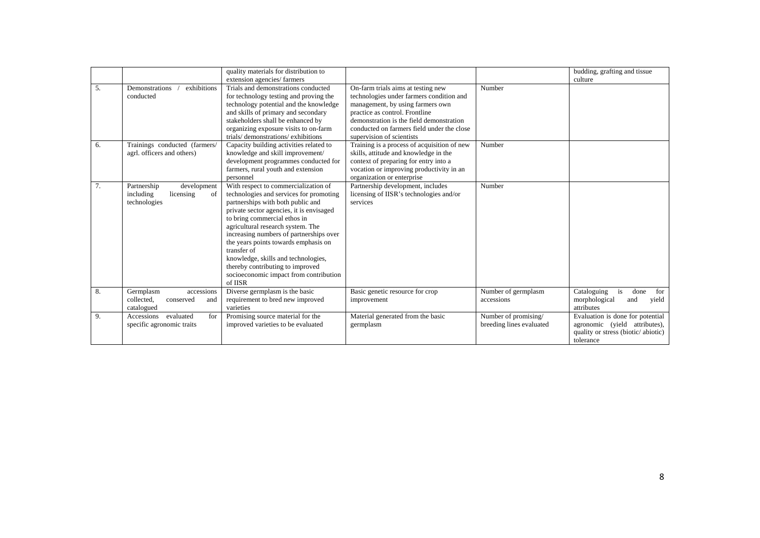|    |                                                                            | quality materials for distribution to<br>extension agencies/farmers                                                                                                                                                                                                                                                                                                                                                                                                     |                                                                                                                                                                                                                                                                             |                                                  | budding, grafting and tissue<br>culture                                                                              |
|----|----------------------------------------------------------------------------|-------------------------------------------------------------------------------------------------------------------------------------------------------------------------------------------------------------------------------------------------------------------------------------------------------------------------------------------------------------------------------------------------------------------------------------------------------------------------|-----------------------------------------------------------------------------------------------------------------------------------------------------------------------------------------------------------------------------------------------------------------------------|--------------------------------------------------|----------------------------------------------------------------------------------------------------------------------|
| 5. | exhibitions<br>Demonstrations<br>conducted                                 | Trials and demonstrations conducted<br>for technology testing and proving the<br>technology potential and the knowledge<br>and skills of primary and secondary<br>stakeholders shall be enhanced by<br>organizing exposure visits to on-farm<br>trials/demonstrations/exhibitions                                                                                                                                                                                       | On-farm trials aims at testing new<br>technologies under farmers condition and<br>management, by using farmers own<br>practice as control. Frontline<br>demonstration is the field demonstration<br>conducted on farmers field under the close<br>supervision of scientists | Number                                           |                                                                                                                      |
| 6. | Trainings conducted (farmers/<br>agrl. officers and others)                | Capacity building activities related to<br>knowledge and skill improvement/<br>development programmes conducted for<br>farmers, rural youth and extension<br>personnel                                                                                                                                                                                                                                                                                                  | Training is a process of acquisition of new<br>skills, attitude and knowledge in the<br>context of preparing for entry into a<br>vocation or improving productivity in an<br>organization or enterprise                                                                     | Number                                           |                                                                                                                      |
| 7. | Partnership<br>development<br>including<br>licensing<br>of<br>technologies | With respect to commercialization of<br>technologies and services for promoting<br>partnerships with both public and<br>private sector agencies, it is envisaged<br>to bring commercial ethos in<br>agricultural research system. The<br>increasing numbers of partnerships over<br>the years points towards emphasis on<br>transfer of<br>knowledge, skills and technologies,<br>thereby contributing to improved<br>socioeconomic impact from contribution<br>of IISR | Partnership development, includes<br>licensing of IISR's technologies and/or<br>services                                                                                                                                                                                    | Number                                           |                                                                                                                      |
| 8. | Germplasm<br>accessions<br>collected,<br>conserved<br>and<br>catalogued    | Diverse germplasm is the basic<br>requirement to bred new improved<br>varieties                                                                                                                                                                                                                                                                                                                                                                                         | Basic genetic resource for crop<br>improvement                                                                                                                                                                                                                              | Number of germplasm<br>accessions                | Cataloguing<br>is<br>done<br>for<br>morphological<br>yield<br>and<br>attributes                                      |
| 9. | evaluated<br>Accessions<br>for<br>specific agronomic traits                | Promising source material for the<br>improved varieties to be evaluated                                                                                                                                                                                                                                                                                                                                                                                                 | Material generated from the basic<br>germplasm                                                                                                                                                                                                                              | Number of promising/<br>breeding lines evaluated | Evaluation is done for potential<br>agronomic (yield attributes),<br>quality or stress (biotic/abiotic)<br>tolerance |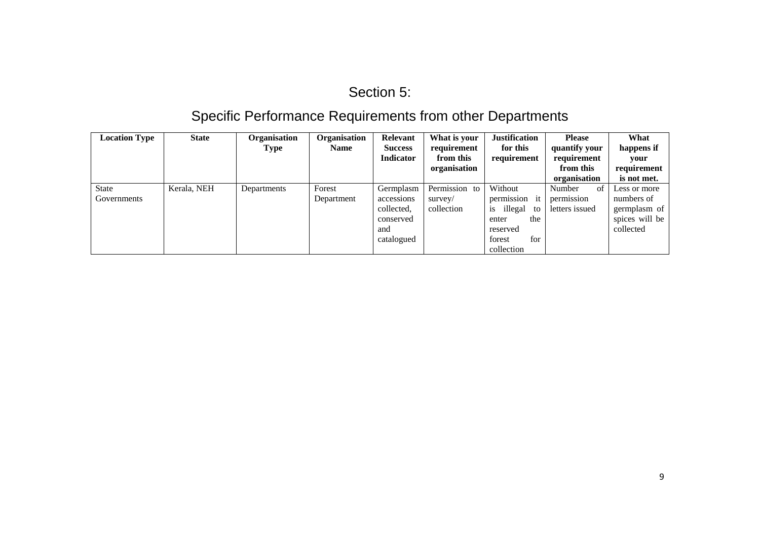## Section 5:

# Specific Performance Requirements from other Departments

| <b>Location Type</b> | <b>State</b> | <b>Organisation</b><br>Type | Organisation<br><b>Name</b> | Relevant<br><b>Success</b> | What is your<br>requirement | <b>Justification</b><br>for this | <b>Please</b><br>quantify your | What<br>happens if |
|----------------------|--------------|-----------------------------|-----------------------------|----------------------------|-----------------------------|----------------------------------|--------------------------------|--------------------|
|                      |              |                             |                             | <b>Indicator</b>           | from this                   | requirement                      | requirement                    | vour               |
|                      |              |                             |                             |                            | organisation                |                                  | from this                      | requirement        |
|                      |              |                             |                             |                            |                             |                                  | organisation                   | is not met.        |
| State                | Kerala, NEH  | Departments                 | Forest                      | Germplasm                  | Permission to               | Without                          | of<br>Number                   | Less or more       |
| Governments          |              |                             | Department                  | accessions                 | survey/                     | permission it                    | permission                     | numbers of         |
|                      |              |                             |                             | collected,                 | collection                  | illegal<br>to<br><b>1S</b>       | letters issued                 | germplasm of       |
|                      |              |                             |                             | conserved                  |                             | the<br>enter                     |                                | spices will be     |
|                      |              |                             |                             | and                        |                             | reserved                         |                                | collected          |
|                      |              |                             |                             | catalogued                 |                             | forest<br>for                    |                                |                    |
|                      |              |                             |                             |                            |                             | collection                       |                                |                    |